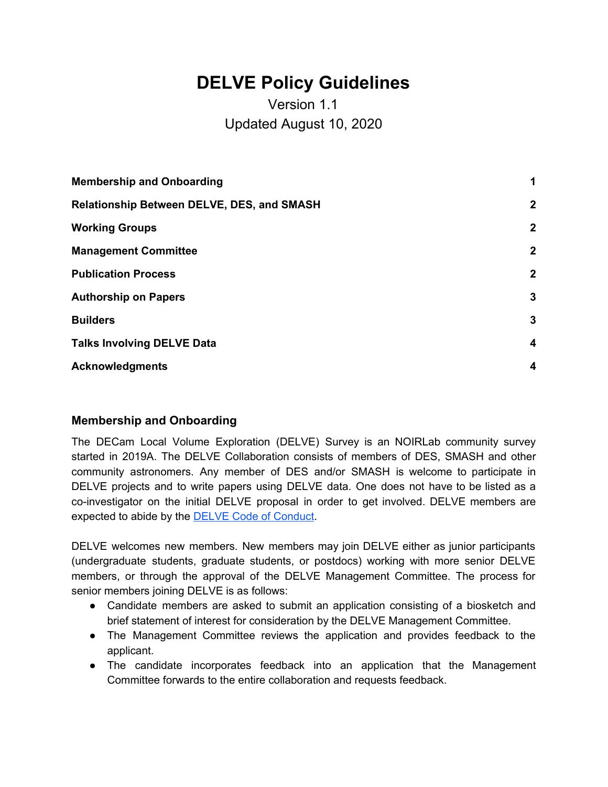# **DELVE Policy Guidelines**

# Version 1.1 Updated August 10, 2020

| <b>Membership and Onboarding</b>                  | $\blacktriangleleft$    |
|---------------------------------------------------|-------------------------|
| <b>Relationship Between DELVE, DES, and SMASH</b> | $\mathbf{2}$            |
| <b>Working Groups</b>                             | $\mathbf{2}$            |
| <b>Management Committee</b>                       | $\mathbf{2}$            |
| <b>Publication Process</b>                        | $\mathbf{2}$            |
| <b>Authorship on Papers</b>                       | 3                       |
| <b>Builders</b>                                   | 3                       |
| <b>Talks Involving DELVE Data</b>                 | $\overline{\mathbf{4}}$ |
| <b>Acknowledgments</b>                            | $\boldsymbol{4}$        |
|                                                   |                         |

# <span id="page-0-0"></span>**Membership and Onboarding**

The DECam Local Volume Exploration (DELVE) Survey is an NOIRLab community survey started in 2019A. The DELVE Collaboration consists of members of DES, SMASH and other community astronomers. Any member of DES and/or SMASH is welcome to participate in DELVE projects and to write papers using DELVE data. One does not have to be listed as a co-investigator on the initial DELVE proposal in order to get involved. DELVE members are expected to abide by the DELVE Code of [Conduct](https://delve-survey.github.io/docs/DELVE_CodeOfConduct.pdf).

DELVE welcomes new members. New members may join DELVE either as junior participants (undergraduate students, graduate students, or postdocs) working with more senior DELVE members, or through the approval of the DELVE Management Committee. The process for senior members joining DELVE is as follows:

- Candidate members are asked to submit an application consisting of a biosketch and brief statement of interest for consideration by the DELVE Management Committee.
- The Management Committee reviews the application and provides feedback to the applicant.
- The candidate incorporates feedback into an application that the Management Committee forwards to the entire collaboration and requests feedback.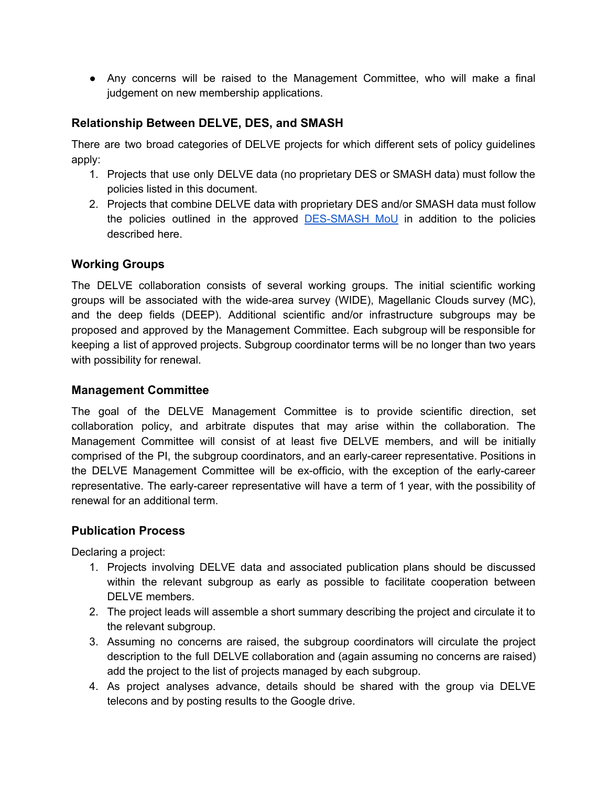● Any concerns will be raised to the Management Committee, who will make a final judgement on new membership applications.

# <span id="page-1-0"></span>**Relationship Between DELVE, DES, and SMASH**

There are two broad categories of DELVE projects for which different sets of policy guidelines apply:

- 1. Projects that use only DELVE data (no proprietary DES or SMASH data) must follow the policies listed in this document.
- 2. Projects that combine DELVE data with proprietary DES and/or SMASH data must follow the policies outlined in the approved [DES-SMASH](https://des-docdb.fnal.gov/cgi-bin/private/ShowDocument?docid=8927) MoU in addition to the policies described here.

# <span id="page-1-1"></span>**Working Groups**

The DELVE collaboration consists of several working groups. The initial scientific working groups will be associated with the wide-area survey (WIDE), Magellanic Clouds survey (MC), and the deep fields (DEEP). Additional scientific and/or infrastructure subgroups may be proposed and approved by the Management Committee. Each subgroup will be responsible for keeping a list of approved projects. Subgroup coordinator terms will be no longer than two years with possibility for renewal.

#### <span id="page-1-2"></span>**Management Committee**

The goal of the DELVE Management Committee is to provide scientific direction, set collaboration policy, and arbitrate disputes that may arise within the collaboration. The Management Committee will consist of at least five DELVE members, and will be initially comprised of the PI, the subgroup coordinators, and an early-career representative. Positions in the DELVE Management Committee will be ex-officio, with the exception of the early-career representative. The early-career representative will have a term of 1 year, with the possibility of renewal for an additional term.

# <span id="page-1-3"></span>**Publication Process**

Declaring a project:

- 1. Projects involving DELVE data and associated publication plans should be discussed within the relevant subgroup as early as possible to facilitate cooperation between DELVE members.
- 2. The project leads will assemble a short summary describing the project and circulate it to the relevant subgroup.
- 3. Assuming no concerns are raised, the subgroup coordinators will circulate the project description to the full DELVE collaboration and (again assuming no concerns are raised) add the project to the list of projects managed by each subgroup.
- 4. As project analyses advance, details should be shared with the group via DELVE telecons and by posting results to the Google drive.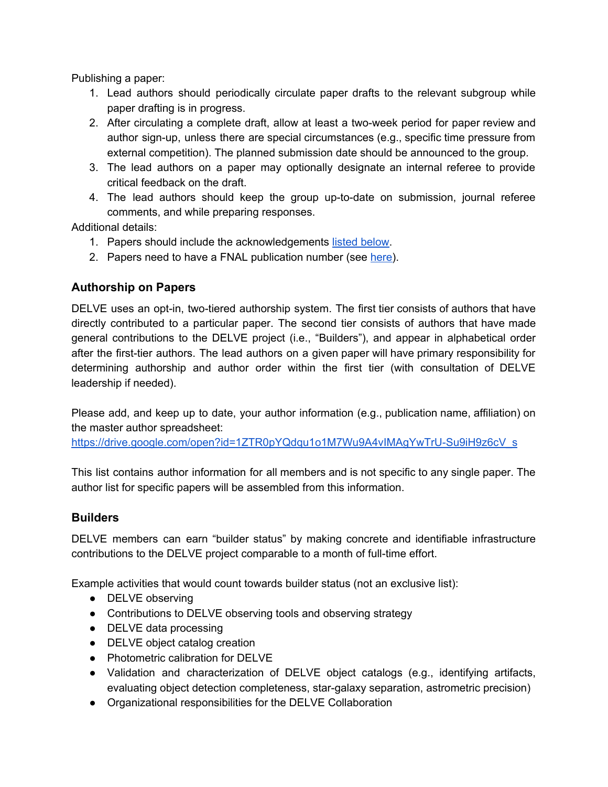Publishing a paper:

- 1. Lead authors should periodically circulate paper drafts to the relevant subgroup while paper drafting is in progress.
- 2. After circulating a complete draft, allow at least a two-week period for paper review and author sign-up, unless there are special circumstances (e.g., specific time pressure from external competition). The planned submission date should be announced to the group.
- 3. The lead authors on a paper may optionally designate an internal referee to provide critical feedback on the draft.
- 4. The lead authors should keep the group up-to-date on submission, journal referee comments, and while preparing responses.

Additional details:

- 1. Papers should include the acknowledgements listed [below](#page-3-1).
- 2. Papers need to have a FNAL publication number (see [here](https://lss.fnal.gov/cgi-bin/getnumber.pl)).

#### <span id="page-2-0"></span>**Authorship on Papers**

DELVE uses an opt-in, two-tiered authorship system. The first tier consists of authors that have directly contributed to a particular paper. The second tier consists of authors that have made general contributions to the DELVE project (i.e., "Builders"), and appear in alphabetical order after the first-tier authors. The lead authors on a given paper will have primary responsibility for determining authorship and author order within the first tier (with consultation of DELVE leadership if needed).

Please add, and keep up to date, your author information (e.g., publication name, affiliation) on the master author spreadsheet:

[https://drive.google.com/open?id=1ZTR0pYQdqu1o1M7Wu9A4vIMAgYwTrU-Su9iH9z6cV\\_s](https://drive.google.com/open?id=1ZTR0pYQdqu1o1M7Wu9A4vIMAgYwTrU-Su9iH9z6cV_s)

This list contains author information for all members and is not specific to any single paper. The author list for specific papers will be assembled from this information.

#### <span id="page-2-1"></span>**Builders**

DELVE members can earn "builder status" by making concrete and identifiable infrastructure contributions to the DELVE project comparable to a month of full-time effort.

Example activities that would count towards builder status (not an exclusive list):

- **DELVE** observing
- Contributions to DELVE observing tools and observing strategy
- DELVE data processing
- DELVE object catalog creation
- Photometric calibration for DELVE
- Validation and characterization of DELVE object catalogs (e.g., identifying artifacts, evaluating object detection completeness, star-galaxy separation, astrometric precision)
- Organizational responsibilities for the DELVE Collaboration